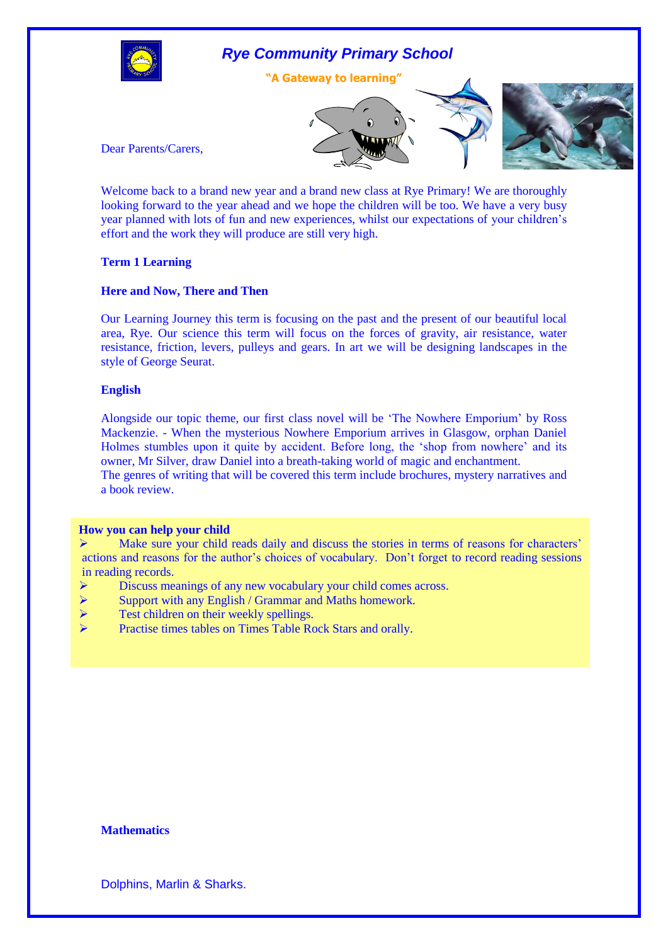

# *Rye Community Primary School*

**"A Gateway to learning"**





Dear Parents/Carers,

Welcome back to a brand new year and a brand new class at Rye Primary! We are thoroughly looking forward to the year ahead and we hope the children will be too. We have a very busy year planned with lots of fun and new experiences, whilst our expectations of your children's effort and the work they will produce are still very high.

## **Term 1 Learning**

## **Here and Now, There and Then**

Our Learning Journey this term is focusing on the past and the present of our beautiful local area, Rye. Our science this term will focus on the forces of gravity, air resistance, water resistance, friction, levers, pulleys and gears. In art we will be designing landscapes in the style of George Seurat.

## **English**

Alongside our topic theme, our first class novel will be 'The Nowhere Emporium' by Ross Mackenzie. - When the mysterious Nowhere Emporium arrives in Glasgow, orphan Daniel Holmes stumbles upon it quite by accident. Before long, the 'shop from nowhere' and its owner, Mr Silver, draw Daniel into a breath-taking world of magic and enchantment. The genres of writing that will be covered this term include brochures, mystery narratives and a book review.

### **How you can help your child**

 $\triangleright$  Make sure your child reads daily and discuss the stories in terms of reasons for characters' actions and reasons for the author's choices of vocabulary. Don't forget to record reading sessions in reading records.

- $\triangleright$  Discuss meanings of any new vocabulary your child comes across.
- $\triangleright$  Support with any English / Grammar and Maths homework.
- $\triangleright$  Test children on their weekly spellings.
- Practise times tables on Times Table Rock Stars and orally.

# **Mathematics**

Dolphins, Marlin & Sharks.